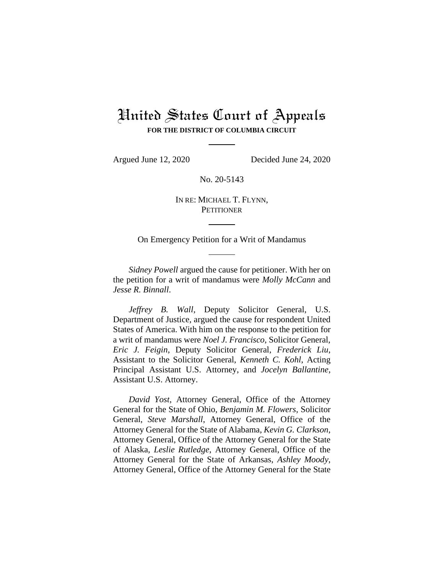# United States Court of Appeals **FOR THE DISTRICT OF COLUMBIA CIRCUIT**

Argued June 12, 2020 Decided June 24, 2020

No. 20-5143

IN RE: MICHAEL T. FLYNN, **PETITIONER** 

On Emergency Petition for a Writ of Mandamus

*Sidney Powell* argued the cause for petitioner. With her on the petition for a writ of mandamus were *Molly McCann* and *Jesse R. Binnall*.

*Jeffrey B. Wall*, Deputy Solicitor General, U.S. Department of Justice, argued the cause for respondent United States of America. With him on the response to the petition for a writ of mandamus were *Noel J. Francisco*, Solicitor General, *Eric J. Feigin*, Deputy Solicitor General, *Frederick Liu*, Assistant to the Solicitor General, *Kenneth C. Kohl*, Acting Principal Assistant U.S. Attorney, and *Jocelyn Ballantine*, Assistant U.S. Attorney.

*David Yost*, Attorney General, Office of the Attorney General for the State of Ohio, *Benjamin M. Flowers*, Solicitor General, *Steve Marshall*, Attorney General, Office of the Attorney General for the State of Alabama, *Kevin G. Clarkson*, Attorney General, Office of the Attorney General for the State of Alaska, *Leslie Rutledge*, Attorney General, Office of the Attorney General for the State of Arkansas, *Ashley Moody*, Attorney General, Office of the Attorney General for the State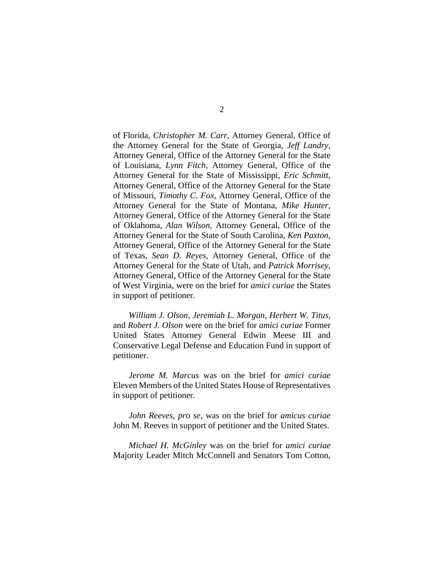of Florida, *Christopher M. Carr*, Attorney General, Office of the Attorney General for the State of Georgia, *Jeff Landry*, Attorney General, Office of the Attorney General for the State of Louisiana, *Lynn Fitch*, Attorney General, Office of the Attorney General for the State of Mississippi, *Eric Schmitt*, Attorney General, Office of the Attorney General for the State of Missouri, *Timothy C. Fox*, Attorney General, Office of the Attorney General for the State of Montana, *Mike Hunter*, Attorney General, Office of the Attorney General for the State of Oklahoma, *Alan Wilson*, Attorney General, Office of the Attorney General for the State of South Carolina, *Ken Paxton*, Attorney General, Office of the Attorney General for the State of Texas, *Sean D. Reyes*, Attorney General, Office of the Attorney General for the State of Utah, and *Patrick Morrisey*, Attorney General, Office of the Attorney General for the State of West Virginia, were on the brief for *amici curiae* the States in support of petitioner.

*William J. Olson*, *Jeremiah L. Morgan*, *Herbert W. Titus*, and *Robert J. Olson* were on the brief for *amici curiae* Former United States Attorney General Edwin Meese III and Conservative Legal Defense and Education Fund in support of petitioner.

*Jerome M. Marcus* was on the brief for *amici curiae*  Eleven Members of the United States House of Representatives in support of petitioner.

*John Reeves*, *pro se*, was on the brief for *amicus curiae*  John M. Reeves in support of petitioner and the United States.

*Michael H. McGinley* was on the brief for *amici curiae*  Majority Leader Mitch McConnell and Senators Tom Cotton,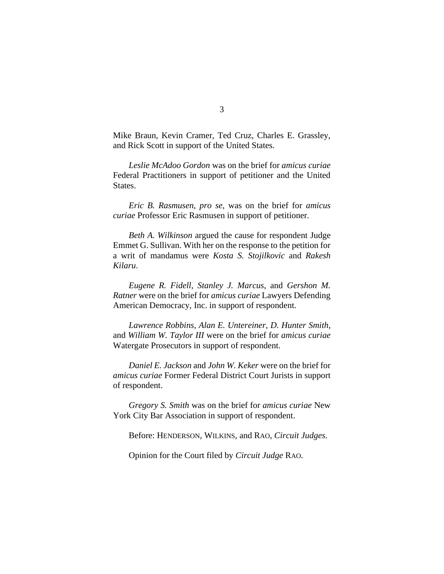Mike Braun, Kevin Cramer, Ted Cruz, Charles E. Grassley, and Rick Scott in support of the United States.

*Leslie McAdoo Gordon* was on the brief for *amicus curiae*  Federal Practitioners in support of petitioner and the United States.

*Eric B. Rasmusen*, *pro se*, was on the brief for *amicus curiae* Professor Eric Rasmusen in support of petitioner.

*Beth A. Wilkinson* argued the cause for respondent Judge Emmet G. Sullivan. With her on the response to the petition for a writ of mandamus were *Kosta S. Stojilkovic* and *Rakesh Kilaru*.

*Eugene R. Fidell*, *Stanley J. Marcus*, and *Gershon M. Ratner* were on the brief for *amicus curiae* Lawyers Defending American Democracy, Inc. in support of respondent.

*Lawrence Robbins*, *Alan E. Untereiner*, *D. Hunter Smith*, and *William W. Taylor III* were on the brief for *amicus curiae*  Watergate Prosecutors in support of respondent.

*Daniel E. Jackson* and *John W. Keker* were on the brief for *amicus curiae* Former Federal District Court Jurists in support of respondent.

*Gregory S. Smith* was on the brief for *amicus curiae* New York City Bar Association in support of respondent.

Before: HENDERSON, WILKINS, and RAO, *Circuit Judges*.

Opinion for the Court filed by *Circuit Judge* RAO.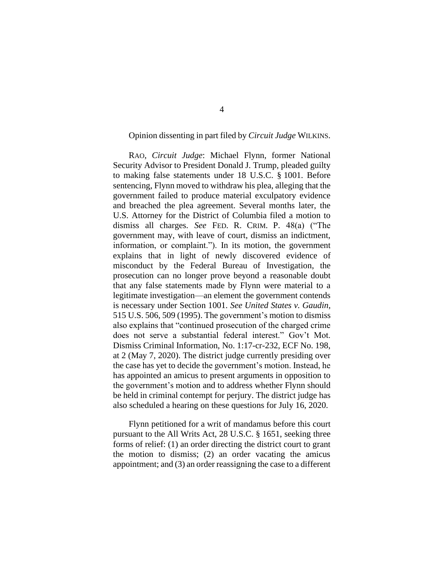## Opinion dissenting in part filed by *Circuit Judge* WILKINS.

RAO, *Circuit Judge*: Michael Flynn, former National Security Advisor to President Donald J. Trump, pleaded guilty to making false statements under 18 U.S.C. § 1001. Before sentencing, Flynn moved to withdraw his plea, alleging that the government failed to produce material exculpatory evidence and breached the plea agreement. Several months later, the U.S. Attorney for the District of Columbia filed a motion to dismiss all charges. *See* FED. R. CRIM. P. 48(a) ("The government may, with leave of court, dismiss an indictment, information, or complaint."). In its motion, the government explains that in light of newly discovered evidence of misconduct by the Federal Bureau of Investigation, the prosecution can no longer prove beyond a reasonable doubt that any false statements made by Flynn were material to a legitimate investigation—an element the government contends is necessary under Section 1001. *See United States v. Gaudin*, 515 U.S. 506, 509 (1995). The government's motion to dismiss also explains that "continued prosecution of the charged crime does not serve a substantial federal interest." Gov't Mot. Dismiss Criminal Information, No. 1:17-cr-232, ECF No. 198, at 2 (May 7, 2020). The district judge currently presiding over the case has yet to decide the government's motion. Instead, he has appointed an amicus to present arguments in opposition to the government's motion and to address whether Flynn should be held in criminal contempt for perjury. The district judge has also scheduled a hearing on these questions for July 16, 2020.

Flynn petitioned for a writ of mandamus before this court pursuant to the All Writs Act, 28 U.S.C. § 1651, seeking three forms of relief: (1) an order directing the district court to grant the motion to dismiss; (2) an order vacating the amicus appointment; and (3) an order reassigning the case to a different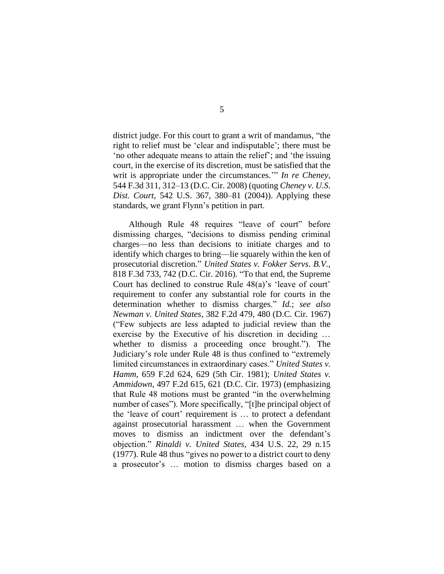district judge. For this court to grant a writ of mandamus, "the right to relief must be 'clear and indisputable'; there must be 'no other adequate means to attain the relief'; and 'the issuing court, in the exercise of its discretion, must be satisfied that the writ is appropriate under the circumstances.'" *In re Cheney*, 544 F.3d 311, 312–13 (D.C. Cir. 2008) (quoting *Cheney v. U.S. Dist. Court*, 542 U.S. 367, 380–81 (2004)). Applying these standards, we grant Flynn's petition in part.

Although Rule 48 requires "leave of court" before dismissing charges, "decisions to dismiss pending criminal charges—no less than decisions to initiate charges and to identify which charges to bring—lie squarely within the ken of prosecutorial discretion." *United States v. Fokker Servs. B.V.*, 818 F.3d 733, 742 (D.C. Cir. 2016). "To that end, the Supreme Court has declined to construe Rule 48(a)'s 'leave of court' requirement to confer any substantial role for courts in the determination whether to dismiss charges." *Id.*; *see also Newman v. United States*, 382 F.2d 479, 480 (D.C. Cir. 1967) ("Few subjects are less adapted to judicial review than the exercise by the Executive of his discretion in deciding … whether to dismiss a proceeding once brought."). The Judiciary's role under Rule 48 is thus confined to "extremely limited circumstances in extraordinary cases." *United States v. Hamm*, 659 F.2d 624, 629 (5th Cir. 1981); *United States v. Ammidown*, 497 F.2d 615, 621 (D.C. Cir. 1973) (emphasizing that Rule 48 motions must be granted "in the overwhelming number of cases"). More specifically, "[t]he principal object of the 'leave of court' requirement is … to protect a defendant against prosecutorial harassment … when the Government moves to dismiss an indictment over the defendant's objection." *Rinaldi v. United States*, 434 U.S. 22, 29 n.15 (1977). Rule 48 thus "gives no power to a district court to deny a prosecutor's … motion to dismiss charges based on a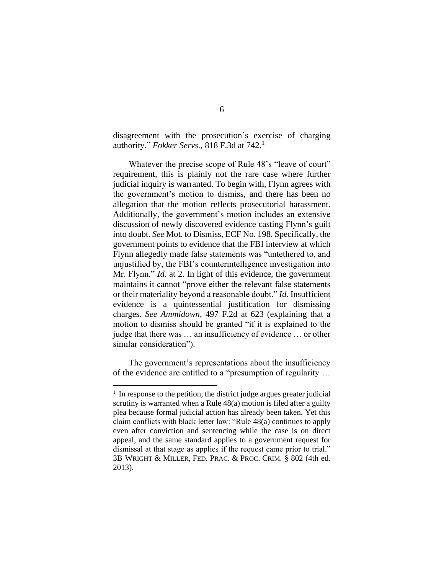disagreement with the prosecution's exercise of charging authority." *Fokker Servs.*, 818 F.3d at 742.<sup>1</sup>

Whatever the precise scope of Rule 48's "leave of court" requirement, this is plainly not the rare case where further judicial inquiry is warranted. To begin with, Flynn agrees with the government's motion to dismiss, and there has been no allegation that the motion reflects prosecutorial harassment. Additionally, the government's motion includes an extensive discussion of newly discovered evidence casting Flynn's guilt into doubt. *See* Mot. to Dismiss, ECF No. 198. Specifically, the government points to evidence that the FBI interview at which Flynn allegedly made false statements was "untethered to, and unjustified by, the FBI's counterintelligence investigation into Mr. Flynn." *Id.* at 2. In light of this evidence, the government maintains it cannot "prove either the relevant false statements or their materiality beyond a reasonable doubt." *Id.* Insufficient evidence is a quintessential justification for dismissing charges. *See Ammidown*, 497 F.2d at 623 (explaining that a motion to dismiss should be granted "if it is explained to the judge that there was … an insufficiency of evidence … or other similar consideration").

The government's representations about the insufficiency of the evidence are entitled to a "presumption of regularity …

<sup>&</sup>lt;sup>1</sup> In response to the petition, the district judge argues greater judicial scrutiny is warranted when a Rule 48(a) motion is filed after a guilty plea because formal judicial action has already been taken. Yet this claim conflicts with black letter law: "Rule 48(a) continues to apply even after conviction and sentencing while the case is on direct appeal, and the same standard applies to a government request for dismissal at that stage as applies if the request came prior to trial." 3B WRIGHT & MILLER, FED. PRAC. & PROC. CRIM. § 802 (4th ed. 2013).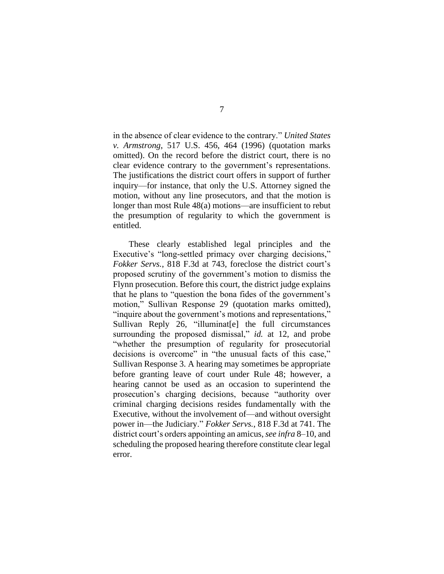in the absence of clear evidence to the contrary." *United States v. Armstrong*, 517 U.S. 456, 464 (1996) (quotation marks omitted). On the record before the district court, there is no clear evidence contrary to the government's representations. The justifications the district court offers in support of further inquiry—for instance, that only the U.S. Attorney signed the motion, without any line prosecutors, and that the motion is longer than most Rule 48(a) motions—are insufficient to rebut the presumption of regularity to which the government is entitled.

These clearly established legal principles and the Executive's "long-settled primacy over charging decisions," *Fokker Servs.*, 818 F.3d at 743, foreclose the district court's proposed scrutiny of the government's motion to dismiss the Flynn prosecution. Before this court, the district judge explains that he plans to "question the bona fides of the government's motion," Sullivan Response 29 (quotation marks omitted), "inquire about the government's motions and representations," Sullivan Reply 26, "illuminat[e] the full circumstances surrounding the proposed dismissal," *id.* at 12, and probe "whether the presumption of regularity for prosecutorial decisions is overcome" in "the unusual facts of this case," Sullivan Response 3. A hearing may sometimes be appropriate before granting leave of court under Rule 48; however, a hearing cannot be used as an occasion to superintend the prosecution's charging decisions, because "authority over criminal charging decisions resides fundamentally with the Executive, without the involvement of—and without oversight power in—the Judiciary." *Fokker Servs.*, 818 F.3d at 741. The district court's orders appointing an amicus, *see infra* 8–10, and scheduling the proposed hearing therefore constitute clear legal error.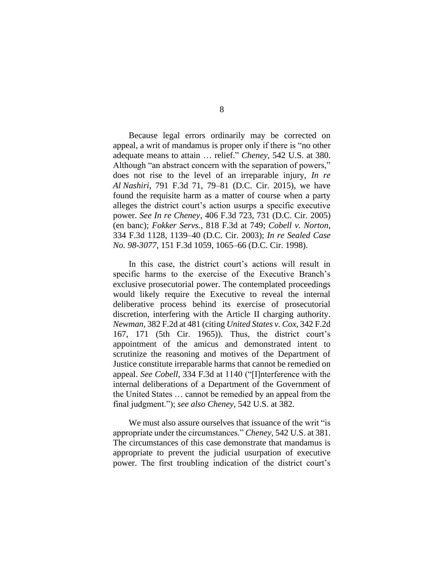Because legal errors ordinarily may be corrected on appeal, a writ of mandamus is proper only if there is "no other adequate means to attain … relief." *Cheney*, 542 U.S. at 380. Although "an abstract concern with the separation of powers," does not rise to the level of an irreparable injury, *In re Al Nashiri*, 791 F.3d 71, 79–81 (D.C. Cir. 2015), we have found the requisite harm as a matter of course when a party alleges the district court's action usurps a specific executive power. *See In re Cheney*, 406 F.3d 723, 731 (D.C. Cir. 2005) (en banc); *Fokker Servs.*, 818 F.3d at 749; *Cobell v. Norton*, 334 F.3d 1128, 1139–40 (D.C. Cir. 2003); *In re Sealed Case No. 98-3077*, 151 F.3d 1059, 1065–66 (D.C. Cir. 1998).

In this case, the district court's actions will result in specific harms to the exercise of the Executive Branch's exclusive prosecutorial power. The contemplated proceedings would likely require the Executive to reveal the internal deliberative process behind its exercise of prosecutorial discretion, interfering with the Article II charging authority. *Newman*, 382 F.2d at 481 (citing *United States v. Cox*, 342 F.2d 167, 171 (5th Cir. 1965)). Thus, the district court's appointment of the amicus and demonstrated intent to scrutinize the reasoning and motives of the Department of Justice constitute irreparable harms that cannot be remedied on appeal. *See Cobell*, 334 F.3d at 1140 ("[I]nterference with the internal deliberations of a Department of the Government of the United States … cannot be remedied by an appeal from the final judgment."); *see also Cheney*, 542 U.S. at 382.

We must also assure ourselves that issuance of the writ "is appropriate under the circumstances." *Cheney*, 542 U.S. at 381. The circumstances of this case demonstrate that mandamus is appropriate to prevent the judicial usurpation of executive power. The first troubling indication of the district court's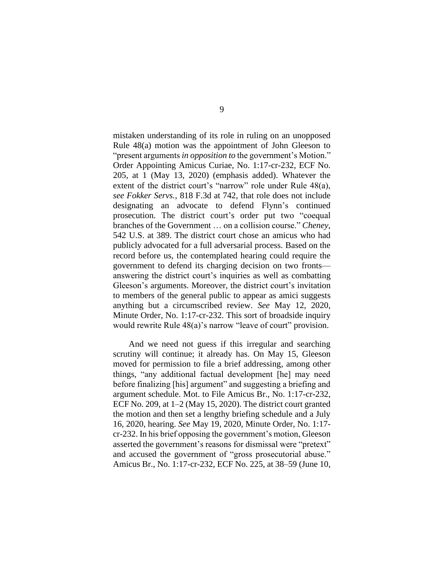mistaken understanding of its role in ruling on an unopposed Rule 48(a) motion was the appointment of John Gleeson to "present arguments *in opposition to* the government's Motion." Order Appointing Amicus Curiae, No. 1:17-cr-232, ECF No. 205, at 1 (May 13, 2020) (emphasis added). Whatever the extent of the district court's "narrow" role under Rule 48(a), *see Fokker Servs.*, 818 F.3d at 742, that role does not include designating an advocate to defend Flynn's continued prosecution. The district court's order put two "coequal branches of the Government … on a collision course." *Cheney*, 542 U.S. at 389. The district court chose an amicus who had publicly advocated for a full adversarial process. Based on the record before us, the contemplated hearing could require the government to defend its charging decision on two fronts answering the district court's inquiries as well as combatting Gleeson's arguments. Moreover, the district court's invitation to members of the general public to appear as amici suggests anything but a circumscribed review. *See* May 12, 2020, Minute Order, No. 1:17-cr-232. This sort of broadside inquiry would rewrite Rule 48(a)'s narrow "leave of court" provision.

And we need not guess if this irregular and searching scrutiny will continue; it already has. On May 15, Gleeson moved for permission to file a brief addressing, among other things, "any additional factual development [he] may need before finalizing [his] argument" and suggesting a briefing and argument schedule. Mot. to File Amicus Br., No. 1:17-cr-232, ECF No. 209, at 1–2 (May 15, 2020). The district court granted the motion and then set a lengthy briefing schedule and a July 16, 2020, hearing. *See* May 19, 2020, Minute Order, No. 1:17 cr-232. In his brief opposing the government's motion, Gleeson asserted the government's reasons for dismissal were "pretext" and accused the government of "gross prosecutorial abuse." Amicus Br., No. 1:17-cr-232, ECF No. 225, at 38–59 (June 10,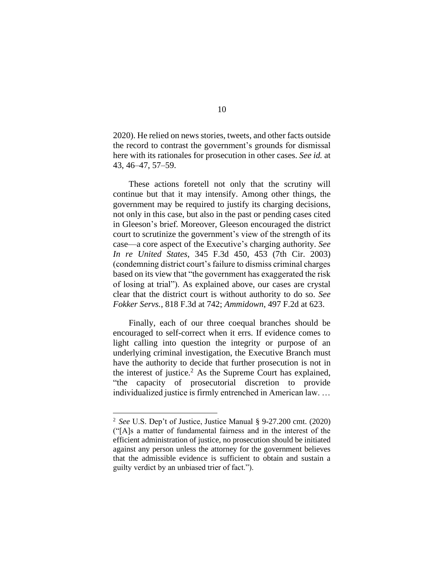2020). He relied on news stories, tweets, and other facts outside the record to contrast the government's grounds for dismissal here with its rationales for prosecution in other cases. *See id.* at 43, 46–47, 57–59.

These actions foretell not only that the scrutiny will continue but that it may intensify. Among other things, the government may be required to justify its charging decisions, not only in this case, but also in the past or pending cases cited in Gleeson's brief. Moreover, Gleeson encouraged the district court to scrutinize the government's view of the strength of its case—a core aspect of the Executive's charging authority. *See In re United States*, 345 F.3d 450, 453 (7th Cir. 2003) (condemning district court's failure to dismiss criminal charges based on its view that "the government has exaggerated the risk of losing at trial"). As explained above, our cases are crystal clear that the district court is without authority to do so. *See Fokker Servs.*, 818 F.3d at 742; *Ammidown*, 497 F.2d at 623.

Finally, each of our three coequal branches should be encouraged to self-correct when it errs. If evidence comes to light calling into question the integrity or purpose of an underlying criminal investigation, the Executive Branch must have the authority to decide that further prosecution is not in the interest of justice. $<sup>2</sup>$  As the Supreme Court has explained,</sup> "the capacity of prosecutorial discretion to provide individualized justice is firmly entrenched in American law. …

<sup>2</sup> *See* U.S. Dep't of Justice, Justice Manual § 9-27.200 cmt. (2020) ("[A]s a matter of fundamental fairness and in the interest of the efficient administration of justice, no prosecution should be initiated against any person unless the attorney for the government believes that the admissible evidence is sufficient to obtain and sustain a guilty verdict by an unbiased trier of fact.").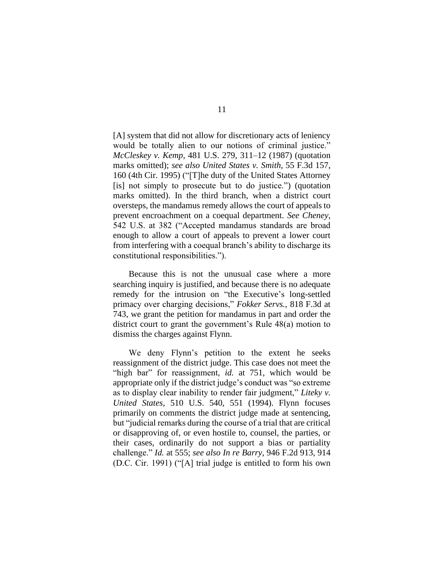[A] system that did not allow for discretionary acts of leniency would be totally alien to our notions of criminal justice." *McCleskey v. Kemp*, 481 U.S. 279, 311–12 (1987) (quotation marks omitted); *see also United States v. Smith*, 55 F.3d 157, 160 (4th Cir. 1995) ("[T]he duty of the United States Attorney [is] not simply to prosecute but to do justice.") (quotation marks omitted). In the third branch, when a district court oversteps, the mandamus remedy allows the court of appeals to prevent encroachment on a coequal department. *See Cheney*, 542 U.S. at 382 ("Accepted mandamus standards are broad enough to allow a court of appeals to prevent a lower court from interfering with a coequal branch's ability to discharge its constitutional responsibilities.").

Because this is not the unusual case where a more searching inquiry is justified, and because there is no adequate remedy for the intrusion on "the Executive's long-settled primacy over charging decisions," *Fokker Servs.*, 818 F.3d at 743, we grant the petition for mandamus in part and order the district court to grant the government's Rule 48(a) motion to dismiss the charges against Flynn*.* 

We deny Flynn's petition to the extent he seeks reassignment of the district judge. This case does not meet the "high bar" for reassignment, *id.* at 751, which would be appropriate only if the district judge's conduct was "so extreme as to display clear inability to render fair judgment," *Liteky v. United States*, 510 U.S. 540, 551 (1994). Flynn focuses primarily on comments the district judge made at sentencing, but "judicial remarks during the course of a trial that are critical or disapproving of, or even hostile to, counsel, the parties, or their cases, ordinarily do not support a bias or partiality challenge." *Id.* at 555; *see also In re Barry*, 946 F.2d 913, 914 (D.C. Cir. 1991) ("[A] trial judge is entitled to form his own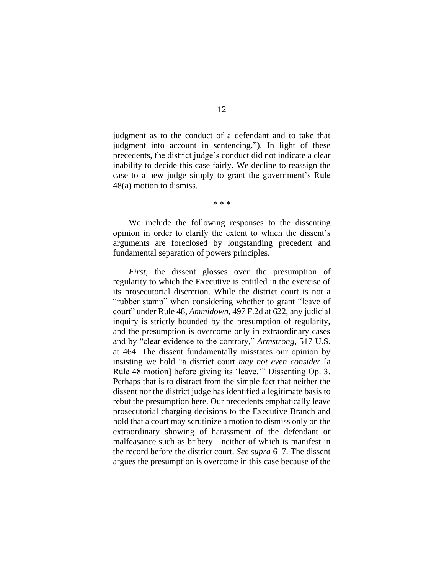judgment as to the conduct of a defendant and to take that judgment into account in sentencing."). In light of these precedents, the district judge's conduct did not indicate a clear inability to decide this case fairly. We decline to reassign the case to a new judge simply to grant the government's Rule 48(a) motion to dismiss.

\* \* \*

We include the following responses to the dissenting opinion in order to clarify the extent to which the dissent's arguments are foreclosed by longstanding precedent and fundamental separation of powers principles.

*First*, the dissent glosses over the presumption of regularity to which the Executive is entitled in the exercise of its prosecutorial discretion. While the district court is not a "rubber stamp" when considering whether to grant "leave of court" under Rule 48, *Ammidown*, 497 F.2d at 622, any judicial inquiry is strictly bounded by the presumption of regularity, and the presumption is overcome only in extraordinary cases and by "clear evidence to the contrary," *Armstrong*, 517 U.S. at 464. The dissent fundamentally misstates our opinion by insisting we hold "a district court *may not even consider* [a Rule 48 motion] before giving its 'leave.'" Dissenting Op. 3. Perhaps that is to distract from the simple fact that neither the dissent nor the district judge has identified a legitimate basis to rebut the presumption here. Our precedents emphatically leave prosecutorial charging decisions to the Executive Branch and hold that a court may scrutinize a motion to dismiss only on the extraordinary showing of harassment of the defendant or malfeasance such as bribery—neither of which is manifest in the record before the district court. *See supra* 6–7. The dissent argues the presumption is overcome in this case because of the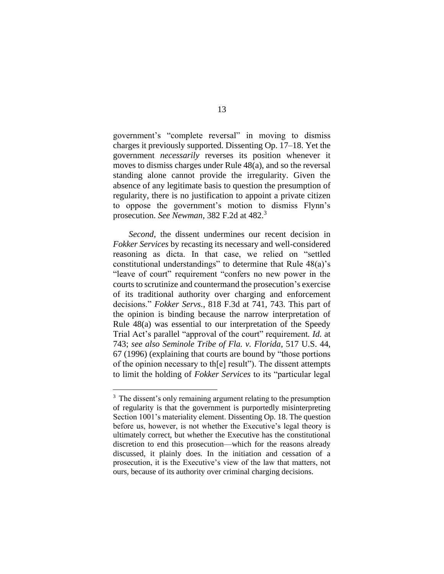government's "complete reversal" in moving to dismiss charges it previously supported. Dissenting Op. 17–18. Yet the government *necessarily* reverses its position whenever it moves to dismiss charges under Rule 48(a), and so the reversal standing alone cannot provide the irregularity. Given the absence of any legitimate basis to question the presumption of regularity, there is no justification to appoint a private citizen to oppose the government's motion to dismiss Flynn's prosecution. *See Newman*, 382 F.2d at 482.<sup>3</sup>

*Second*, the dissent undermines our recent decision in *Fokker Services* by recasting its necessary and well-considered reasoning as dicta. In that case, we relied on "settled constitutional understandings" to determine that Rule 48(a)'s "leave of court" requirement "confers no new power in the courts to scrutinize and countermand the prosecution's exercise of its traditional authority over charging and enforcement decisions." *Fokker Servs.*, 818 F.3d at 741, 743. This part of the opinion is binding because the narrow interpretation of Rule 48(a) was essential to our interpretation of the Speedy Trial Act's parallel "approval of the court" requirement*. Id.* at 743; *see also Seminole Tribe of Fla. v. Florida*, 517 U.S. 44, 67 (1996) (explaining that courts are bound by "those portions of the opinion necessary to th[e] result"). The dissent attempts to limit the holding of *Fokker Services* to its "particular legal

<sup>&</sup>lt;sup>3</sup> The dissent's only remaining argument relating to the presumption of regularity is that the government is purportedly misinterpreting Section 1001's materiality element. Dissenting Op. 18. The question before us, however, is not whether the Executive's legal theory is ultimately correct, but whether the Executive has the constitutional discretion to end this prosecution—which for the reasons already discussed, it plainly does. In the initiation and cessation of a prosecution, it is the Executive's view of the law that matters, not ours, because of its authority over criminal charging decisions.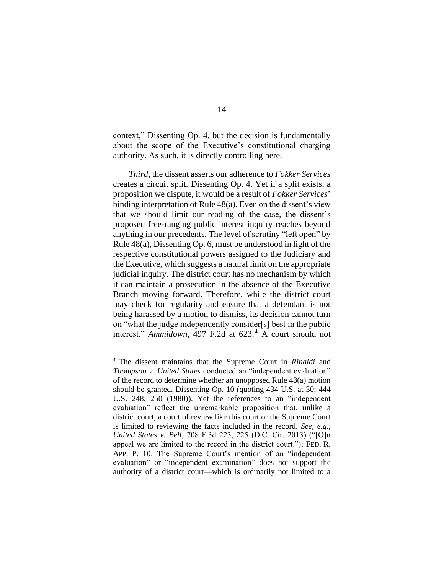context," Dissenting Op. 4, but the decision is fundamentally about the scope of the Executive's constitutional charging authority. As such, it is directly controlling here.

*Third*, the dissent asserts our adherence to *Fokker Services* creates a circuit split. Dissenting Op. 4. Yet if a split exists, a proposition we dispute, it would be a result of *Fokker Services*' binding interpretation of Rule 48(a). Even on the dissent's view that we should limit our reading of the case, the dissent's proposed free-ranging public interest inquiry reaches beyond anything in our precedents. The level of scrutiny "left open" by Rule 48(a), Dissenting Op. 6, must be understood in light of the respective constitutional powers assigned to the Judiciary and the Executive, which suggests a natural limit on the appropriate judicial inquiry. The district court has no mechanism by which it can maintain a prosecution in the absence of the Executive Branch moving forward. Therefore, while the district court may check for regularity and ensure that a defendant is not being harassed by a motion to dismiss, its decision cannot turn on "what the judge independently consider[s] best in the public interest." *Ammidown*, 497 F.2d at 623.<sup>4</sup> A court should not

<sup>4</sup> The dissent maintains that the Supreme Court in *Rinaldi* and *Thompson v. United States* conducted an "independent evaluation" of the record to determine whether an unopposed Rule 48(a) motion should be granted. Dissenting Op. 10 (quoting 434 U.S. at 30; 444 U.S. 248, 250 (1980)). Yet the references to an "independent evaluation" reflect the unremarkable proposition that, unlike a district court, a court of review like this court or the Supreme Court is limited to reviewing the facts included in the record. *See, e.g.*, *United States v. Bell*, 708 F.3d 223, 225 (D.C. Cir. 2013) ("[O]n appeal we are limited to the record in the district court."); FED. R. APP. P. 10. The Supreme Court's mention of an "independent evaluation" or "independent examination" does not support the authority of a district court—which is ordinarily not limited to a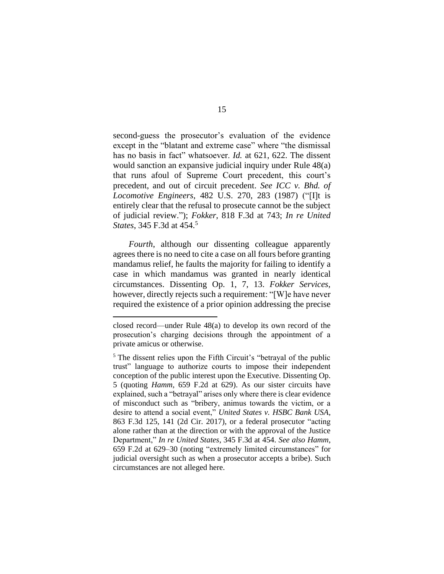second-guess the prosecutor's evaluation of the evidence except in the "blatant and extreme case" where "the dismissal has no basis in fact" whatsoever. *Id.* at 621, 622. The dissent would sanction an expansive judicial inquiry under Rule 48(a) that runs afoul of Supreme Court precedent, this court's precedent, and out of circuit precedent. *See ICC v. Bhd. of Locomotive Engineers*, 482 U.S. 270, 283 (1987) ("[I]t is entirely clear that the refusal to prosecute cannot be the subject of judicial review."); *Fokker*, 818 F.3d at 743; *In re United States*, 345 F.3d at 454. 5

*Fourth*, although our dissenting colleague apparently agrees there is no need to cite a case on all fours before granting mandamus relief, he faults the majority for failing to identify a case in which mandamus was granted in nearly identical circumstances. Dissenting Op. 1, 7, 13. *Fokker Services*, however, directly rejects such a requirement: "[W]e have never required the existence of a prior opinion addressing the precise

closed record—under Rule 48(a) to develop its own record of the prosecution's charging decisions through the appointment of a private amicus or otherwise.

<sup>&</sup>lt;sup>5</sup> The dissent relies upon the Fifth Circuit's "betrayal of the public trust" language to authorize courts to impose their independent conception of the public interest upon the Executive. Dissenting Op. 5 (quoting *Hamm*, 659 F.2d at 629). As our sister circuits have explained, such a "betrayal" arises only where there is clear evidence of misconduct such as "bribery, animus towards the victim, or a desire to attend a social event," *United States v. HSBC Bank USA*, 863 F.3d 125, 141 (2d Cir. 2017), or a federal prosecutor "acting alone rather than at the direction or with the approval of the Justice Department," *In re United States*, 345 F.3d at 454. *See also Hamm*, 659 F.2d at 629–30 (noting "extremely limited circumstances" for judicial oversight such as when a prosecutor accepts a bribe). Such circumstances are not alleged here.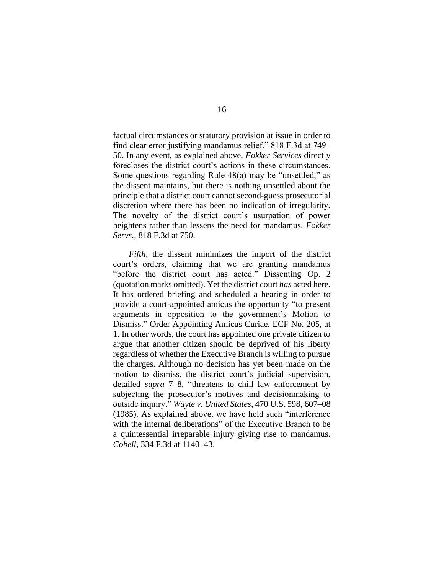factual circumstances or statutory provision at issue in order to find clear error justifying mandamus relief." 818 F.3d at 749– 50. In any event, as explained above, *Fokker Services* directly forecloses the district court's actions in these circumstances. Some questions regarding Rule 48(a) may be "unsettled," as the dissent maintains, but there is nothing unsettled about the principle that a district court cannot second-guess prosecutorial discretion where there has been no indication of irregularity. The novelty of the district court's usurpation of power heightens rather than lessens the need for mandamus. *Fokker Servs.*, 818 F.3d at 750.

*Fifth*, the dissent minimizes the import of the district court's orders, claiming that we are granting mandamus "before the district court has acted." Dissenting Op. 2 (quotation marks omitted). Yet the district court *has* acted here. It has ordered briefing and scheduled a hearing in order to provide a court-appointed amicus the opportunity "to present arguments in opposition to the government's Motion to Dismiss." Order Appointing Amicus Curiae, ECF No. 205, at 1. In other words, the court has appointed one private citizen to argue that another citizen should be deprived of his liberty regardless of whether the Executive Branch is willing to pursue the charges. Although no decision has yet been made on the motion to dismiss, the district court's judicial supervision, detailed *supra* 7–8, "threatens to chill law enforcement by subjecting the prosecutor's motives and decisionmaking to outside inquiry." *Wayte v. United States*, 470 U.S. 598, 607–08 (1985). As explained above, we have held such "interference with the internal deliberations" of the Executive Branch to be a quintessential irreparable injury giving rise to mandamus. *Cobell*, 334 F.3d at 1140–43.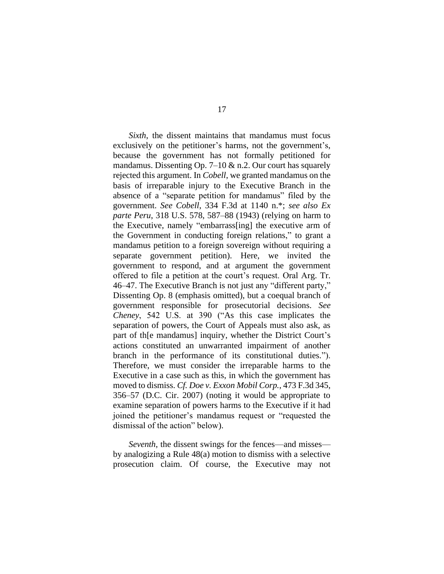*Sixth*, the dissent maintains that mandamus must focus exclusively on the petitioner's harms, not the government's, because the government has not formally petitioned for mandamus. Dissenting Op. 7–10  $\&$  n.2. Our court has squarely rejected this argument. In *Cobell*, we granted mandamus on the basis of irreparable injury to the Executive Branch in the absence of a "separate petition for mandamus" filed by the government. *See Cobell*, 334 F.3d at 1140 n.\*; *see also Ex parte Peru*, 318 U.S. 578, 587–88 (1943) (relying on harm to the Executive, namely "embarrass[ing] the executive arm of the Government in conducting foreign relations," to grant a mandamus petition to a foreign sovereign without requiring a separate government petition). Here, we invited the government to respond, and at argument the government offered to file a petition at the court's request. Oral Arg. Tr. 46–47. The Executive Branch is not just any "different party," Dissenting Op. 8 (emphasis omitted), but a coequal branch of government responsible for prosecutorial decisions. *See Cheney*, 542 U.S. at 390 ("As this case implicates the separation of powers, the Court of Appeals must also ask, as part of th[e mandamus] inquiry, whether the District Court's actions constituted an unwarranted impairment of another branch in the performance of its constitutional duties."). Therefore, we must consider the irreparable harms to the Executive in a case such as this, in which the government has moved to dismiss. *Cf. Doe v. Exxon Mobil Corp.*, 473 F.3d 345, 356–57 (D.C. Cir. 2007) (noting it would be appropriate to examine separation of powers harms to the Executive if it had joined the petitioner's mandamus request or "requested the dismissal of the action" below).

*Seventh*, the dissent swings for the fences—and misses by analogizing a Rule 48(a) motion to dismiss with a selective prosecution claim. Of course, the Executive may not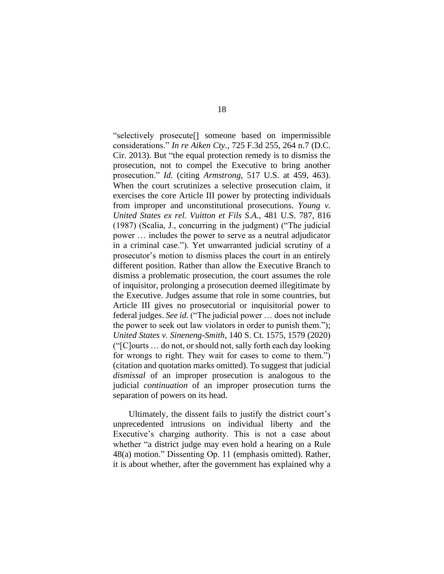"selectively prosecute[] someone based on impermissible considerations." *In re Aiken Cty.*, 725 F.3d 255, 264 n.7 (D.C. Cir. 2013). But "the equal protection remedy is to dismiss the prosecution, not to compel the Executive to bring another prosecution." *Id.* (citing *Armstrong*, 517 U.S. at 459, 463). When the court scrutinizes a selective prosecution claim, it exercises the core Article III power by protecting individuals from improper and unconstitutional prosecutions. *Young v. United States ex rel. Vuitton et Fils S.A.*, 481 U.S. 787, 816 (1987) (Scalia, J., concurring in the judgment) ("The judicial power … includes the power to serve as a neutral adjudicator in a criminal case."). Yet unwarranted judicial scrutiny of a prosecutor's motion to dismiss places the court in an entirely different position. Rather than allow the Executive Branch to dismiss a problematic prosecution, the court assumes the role of inquisitor, prolonging a prosecution deemed illegitimate by the Executive. Judges assume that role in some countries, but Article III gives no prosecutorial or inquisitorial power to federal judges. *See id.* ("The judicial power … does not include the power to seek out law violators in order to punish them."); *United States v. Sineneng-Smith*, 140 S. Ct. 1575, 1579 (2020) ("[C]ourts … do not, or should not, sally forth each day looking for wrongs to right. They wait for cases to come to them.") (citation and quotation marks omitted). To suggest that judicial *dismissal* of an improper prosecution is analogous to the judicial *continuation* of an improper prosecution turns the separation of powers on its head.

Ultimately, the dissent fails to justify the district court's unprecedented intrusions on individual liberty and the Executive's charging authority. This is not a case about whether "a district judge may even hold a hearing on a Rule 48(a) motion." Dissenting Op. 11 (emphasis omitted). Rather, it is about whether, after the government has explained why a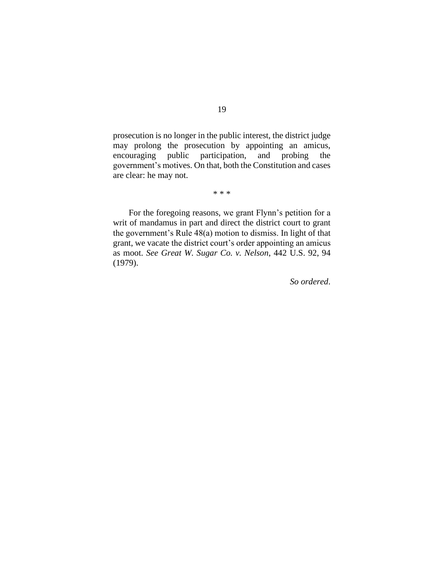prosecution is no longer in the public interest, the district judge may prolong the prosecution by appointing an amicus, encouraging public participation, and probing the government's motives. On that, both the Constitution and cases are clear: he may not.

\* \* \*

For the foregoing reasons, we grant Flynn's petition for a writ of mandamus in part and direct the district court to grant the government's Rule 48(a) motion to dismiss. In light of that grant, we vacate the district court's order appointing an amicus as moot. *See Great W. Sugar Co. v. Nelson*, 442 U.S. 92, 94 (1979).

*So ordered*.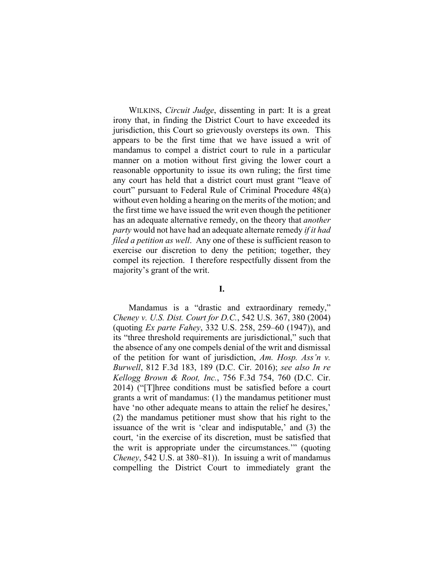WILKINS, *Circuit Judge*, dissenting in part: It is a great irony that, in finding the District Court to have exceeded its jurisdiction, this Court so grievously oversteps its own. This appears to be the first time that we have issued a writ of mandamus to compel a district court to rule in a particular manner on a motion without first giving the lower court a reasonable opportunity to issue its own ruling; the first time any court has held that a district court must grant "leave of court" pursuant to Federal Rule of Criminal Procedure 48(a) without even holding a hearing on the merits of the motion; and the first time we have issued the writ even though the petitioner has an adequate alternative remedy, on the theory that *another party* would not have had an adequate alternate remedy *if it had filed a petition as well.* Any one of these is sufficient reason to exercise our discretion to deny the petition; together, they compel its rejection. I therefore respectfully dissent from the majority's grant of the writ.

## **I.**

Mandamus is a "drastic and extraordinary remedy," *Cheney v. U.S. Dist. Court for D.C.*, 542 U.S. 367, 380 (2004) (quoting *Ex parte Fahey*, 332 U.S. 258, 259–60 (1947)), and its "three threshold requirements are jurisdictional," such that the absence of any one compels denial of the writ and dismissal of the petition for want of jurisdiction, *Am. Hosp. Ass'n v. Burwell*, 812 F.3d 183, 189 (D.C. Cir. 2016); *see also In re Kellogg Brown & Root, Inc.*, 756 F.3d 754, 760 (D.C. Cir. 2014) ("[T]hree conditions must be satisfied before a court grants a writ of mandamus: (1) the mandamus petitioner must have 'no other adequate means to attain the relief he desires,' (2) the mandamus petitioner must show that his right to the issuance of the writ is 'clear and indisputable,' and (3) the court, 'in the exercise of its discretion, must be satisfied that the writ is appropriate under the circumstances.'" (quoting *Cheney*, 542 U.S. at 380–81)). In issuing a writ of mandamus compelling the District Court to immediately grant the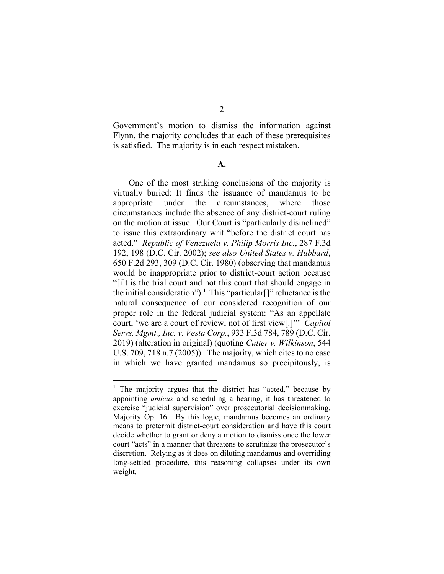Government's motion to dismiss the information against Flynn, the majority concludes that each of these prerequisites is satisfied. The majority is in each respect mistaken.

#### **A.**

One of the most striking conclusions of the majority is virtually buried: It finds the issuance of mandamus to be appropriate under the circumstances, where those circumstances include the absence of any district-court ruling on the motion at issue. Our Court is "particularly disinclined" to issue this extraordinary writ "before the district court has acted." *Republic of Venezuela v. Philip Morris Inc.*, 287 F.3d 192, 198 (D.C. Cir. 2002); *see also United States v. Hubbard*, 650 F.2d 293, 309 (D.C. Cir. 1980) (observing that mandamus would be inappropriate prior to district-court action because "[i]t is the trial court and not this court that should engage in the initial consideration").<sup>1</sup> This "particular<sup>[]"</sup> reluctance is the natural consequence of our considered recognition of our proper role in the federal judicial system: "As an appellate court, 'we are a court of review, not of first view[.]'" *Capitol Servs. Mgmt., Inc. v. Vesta Corp.*, 933 F.3d 784, 789 (D.C. Cir. 2019) (alteration in original) (quoting *Cutter v. Wilkinson*, 544 U.S. 709, 718 n.7 (2005)). The majority, which cites to no case in which we have granted mandamus so precipitously, is

<sup>&</sup>lt;sup>1</sup> The majority argues that the district has "acted," because by appointing *amicus* and scheduling a hearing, it has threatened to exercise "judicial supervision" over prosecutorial decisionmaking. Majority Op. 16. By this logic, mandamus becomes an ordinary means to pretermit district-court consideration and have this court decide whether to grant or deny a motion to dismiss once the lower court "acts" in a manner that threatens to scrutinize the prosecutor's discretion. Relying as it does on diluting mandamus and overriding long-settled procedure, this reasoning collapses under its own weight.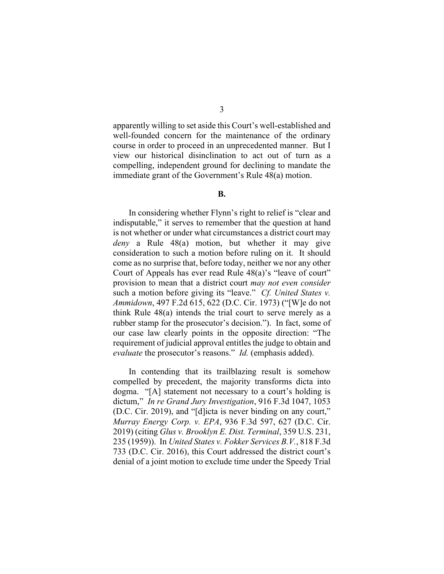apparently willing to set aside this Court's well-established and well-founded concern for the maintenance of the ordinary course in order to proceed in an unprecedented manner. But I view our historical disinclination to act out of turn as a compelling, independent ground for declining to mandate the immediate grant of the Government's Rule 48(a) motion.

### **B.**

In considering whether Flynn's right to relief is "clear and indisputable," it serves to remember that the question at hand is not whether or under what circumstances a district court may *deny* a Rule 48(a) motion, but whether it may give consideration to such a motion before ruling on it. It should come as no surprise that, before today, neither we nor any other Court of Appeals has ever read Rule 48(a)'s "leave of court" provision to mean that a district court *may not even consider* such a motion before giving its "leave." *Cf. United States v. Ammidown*, 497 F.2d 615, 622 (D.C. Cir. 1973) ("[W]e do not think Rule 48(a) intends the trial court to serve merely as a rubber stamp for the prosecutor's decision."). In fact, some of our case law clearly points in the opposite direction: "The requirement of judicial approval entitles the judge to obtain and *evaluate* the prosecutor's reasons." *Id.* (emphasis added).

In contending that its trailblazing result is somehow compelled by precedent, the majority transforms dicta into dogma. "[A] statement not necessary to a court's holding is dictum," *In re Grand Jury Investigation*, 916 F.3d 1047, 1053 (D.C. Cir. 2019), and "[d]icta is never binding on any court," *Murray Energy Corp. v. EPA*, 936 F.3d 597, 627 (D.C. Cir. 2019) (citing *Glus v. Brooklyn E. Dist. Terminal*, 359 U.S. 231, 235 (1959)). In *United States v. Fokker Services B.V.*, 818 F.3d 733 (D.C. Cir. 2016), this Court addressed the district court's denial of a joint motion to exclude time under the Speedy Trial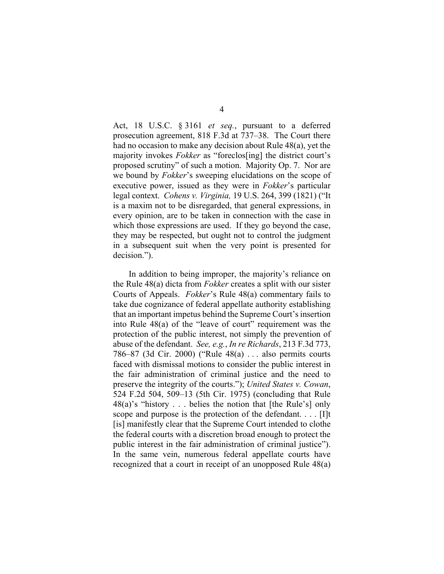Act, 18 U.S.C. § 3161 *et seq.*, pursuant to a deferred prosecution agreement, 818 F.3d at 737–38. The Court there had no occasion to make any decision about Rule 48(a), yet the majority invokes *Fokker* as "foreclos[ing] the district court's proposed scrutiny" of such a motion. Majority Op. 7. Nor are we bound by *Fokker*'s sweeping elucidations on the scope of executive power, issued as they were in *Fokker*'s particular legal context. *Cohens v. Virginia,* 19 U.S. 264, 399 (1821) ("It is a maxim not to be disregarded, that general expressions, in every opinion, are to be taken in connection with the case in which those expressions are used. If they go beyond the case, they may be respected, but ought not to control the judgment in a subsequent suit when the very point is presented for decision.").

In addition to being improper, the majority's reliance on the Rule 48(a) dicta from *Fokker* creates a split with our sister Courts of Appeals. *Fokker*'s Rule 48(a) commentary fails to take due cognizance of federal appellate authority establishing that an important impetus behind the Supreme Court's insertion into Rule  $48(a)$  of the "leave of court" requirement was the protection of the public interest, not simply the prevention of abuse of the defendant. *See, e.g.*, *In re Richards*, 213 F.3d 773, 786–87 (3d Cir. 2000) ("Rule 48(a) . . . also permits courts faced with dismissal motions to consider the public interest in the fair administration of criminal justice and the need to preserve the integrity of the courts."); *United States v. Cowan*, 524 F.2d 504, 509–13 (5th Cir. 1975) (concluding that Rule 48(a)'s "history . . . belies the notion that [the Rule's] only scope and purpose is the protection of the defendant. . . . [I]t [is] manifestly clear that the Supreme Court intended to clothe the federal courts with a discretion broad enough to protect the public interest in the fair administration of criminal justice"). In the same vein, numerous federal appellate courts have recognized that a court in receipt of an unopposed Rule 48(a)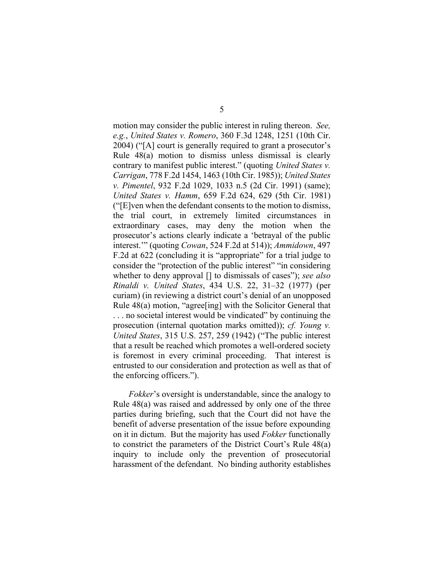motion may consider the public interest in ruling thereon. *See, e.g.*, *United States v. Romero*, 360 F.3d 1248, 1251 (10th Cir. 2004) ("[A] court is generally required to grant a prosecutor's Rule 48(a) motion to dismiss unless dismissal is clearly contrary to manifest public interest." (quoting *United States v. Carrigan*, 778 F.2d 1454, 1463 (10th Cir. 1985)); *United States v. Pimentel*, 932 F.2d 1029, 1033 n.5 (2d Cir. 1991) (same); *United States v. Hamm*, 659 F.2d 624, 629 (5th Cir. 1981) ("[E]ven when the defendant consents to the motion to dismiss, the trial court, in extremely limited circumstances in extraordinary cases, may deny the motion when the prosecutor's actions clearly indicate a 'betrayal of the public interest.'" (quoting *Cowan*, 524 F.2d at 514)); *Ammidown*, 497 F.2d at 622 (concluding it is "appropriate" for a trial judge to consider the "protection of the public interest" "in considering whether to deny approval [] to dismissals of cases"); *see also Rinaldi v. United States*, 434 U.S. 22, 31–32 (1977) (per curiam) (in reviewing a district court's denial of an unopposed Rule 48(a) motion, "agree[ing] with the Solicitor General that . . . no societal interest would be vindicated" by continuing the prosecution (internal quotation marks omitted)); *cf. Young v. United States*, 315 U.S. 257, 259 (1942) ("The public interest that a result be reached which promotes a well-ordered society is foremost in every criminal proceeding. That interest is entrusted to our consideration and protection as well as that of the enforcing officers.").

*Fokker*'s oversight is understandable, since the analogy to Rule 48(a) was raised and addressed by only one of the three parties during briefing, such that the Court did not have the benefit of adverse presentation of the issue before expounding on it in dictum. But the majority has used *Fokker* functionally to constrict the parameters of the District Court's Rule 48(a) inquiry to include only the prevention of prosecutorial harassment of the defendant. No binding authority establishes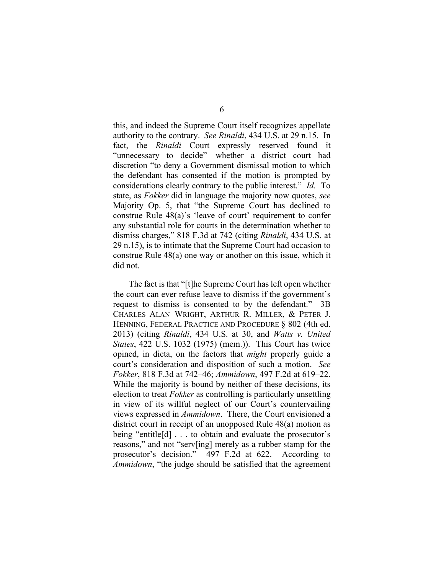this, and indeed the Supreme Court itself recognizes appellate authority to the contrary. *See Rinaldi*, 434 U.S. at 29 n.15. In fact, the *Rinaldi* Court expressly reserved—found it "unnecessary to decide"—whether a district court had discretion "to deny a Government dismissal motion to which the defendant has consented if the motion is prompted by considerations clearly contrary to the public interest." *Id.* To state, as *Fokker* did in language the majority now quotes, *see*  Majority Op. 5, that "the Supreme Court has declined to construe Rule 48(a)'s 'leave of court' requirement to confer any substantial role for courts in the determination whether to dismiss charges," 818 F.3d at 742 (citing *Rinaldi*, 434 U.S. at 29 n.15), is to intimate that the Supreme Court had occasion to construe Rule 48(a) one way or another on this issue, which it did not.

The fact is that "[t]he Supreme Court has left open whether the court can ever refuse leave to dismiss if the government's request to dismiss is consented to by the defendant." 3B CHARLES ALAN WRIGHT, ARTHUR R. MILLER, & PETER J. HENNING, FEDERAL PRACTICE AND PROCEDURE § 802 (4th ed. 2013) (citing *Rinaldi*, 434 U.S. at 30, and *Watts v. United States*, 422 U.S. 1032 (1975) (mem.)). This Court has twice opined, in dicta, on the factors that *might* properly guide a court's consideration and disposition of such a motion. *See Fokker*, 818 F.3d at 742–46; *Ammidown*, 497 F.2d at 619–22. While the majority is bound by neither of these decisions, its election to treat *Fokker* as controlling is particularly unsettling in view of its willful neglect of our Court's countervailing views expressed in *Ammidown*. There, the Court envisioned a district court in receipt of an unopposed Rule 48(a) motion as being "entitle[d] . . . to obtain and evaluate the prosecutor's reasons," and not "serv[ing] merely as a rubber stamp for the prosecutor's decision." 497 F.2d at 622. According to *Ammidown*, "the judge should be satisfied that the agreement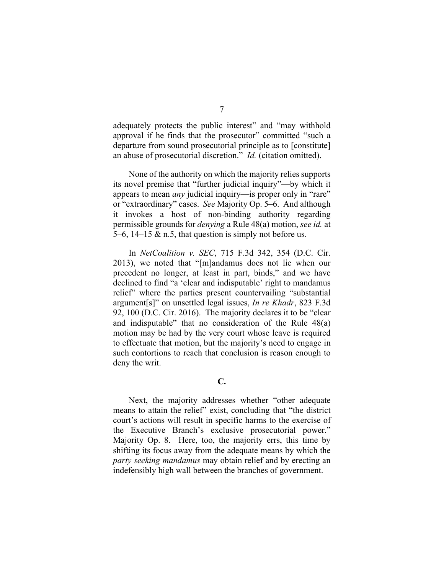adequately protects the public interest" and "may withhold approval if he finds that the prosecutor" committed "such a departure from sound prosecutorial principle as to [constitute] an abuse of prosecutorial discretion." *Id.* (citation omitted).

None of the authority on which the majority relies supports its novel premise that "further judicial inquiry"—by which it appears to mean *any* judicial inquiry—is proper only in "rare" or "extraordinary" cases. *See* Majority Op. 5–6.And although it invokes a host of non-binding authority regarding permissible grounds for *denying* a Rule 48(a) motion, *see id.* at 5–6, 14–15  $\&$  n.5, that question is simply not before us.

In *NetCoalition v. SEC*, 715 F.3d 342, 354 (D.C. Cir. 2013), we noted that "[m]andamus does not lie when our precedent no longer, at least in part, binds," and we have declined to find "a 'clear and indisputable' right to mandamus relief" where the parties present countervailing "substantial argument[s]" on unsettled legal issues, *In re Khadr*, 823 F.3d 92, 100 (D.C. Cir. 2016). The majority declares it to be "clear and indisputable" that no consideration of the Rule 48(a) motion may be had by the very court whose leave is required to effectuate that motion, but the majority's need to engage in such contortions to reach that conclusion is reason enough to deny the writ.

**C.** 

Next, the majority addresses whether "other adequate means to attain the relief" exist, concluding that "the district court's actions will result in specific harms to the exercise of the Executive Branch's exclusive prosecutorial power." Majority Op. 8. Here, too, the majority errs, this time by shifting its focus away from the adequate means by which the *party seeking mandamus* may obtain relief and by erecting an indefensibly high wall between the branches of government.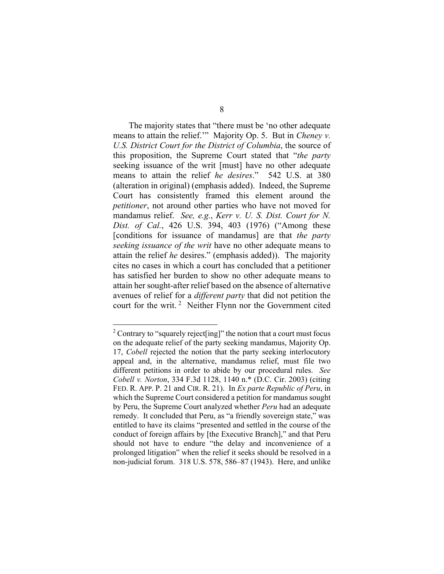The majority states that "there must be 'no other adequate means to attain the relief.'" Majority Op. 5. But in *Cheney v. U.S. District Court for the District of Columbia*, the source of this proposition, the Supreme Court stated that "*the party* seeking issuance of the writ [must] have no other adequate means to attain the relief *he desires*." 542 U.S. at 380 (alteration in original) (emphasis added). Indeed, the Supreme Court has consistently framed this element around the *petitioner*, not around other parties who have not moved for mandamus relief. *See, e.g.*, *Kerr v. U. S. Dist. Court for N. Dist. of Cal.*, 426 U.S. 394, 403 (1976) ("Among these [conditions for issuance of mandamus] are that *the party seeking issuance of the writ* have no other adequate means to attain the relief *he* desires." (emphasis added)). The majority cites no cases in which a court has concluded that a petitioner has satisfied her burden to show no other adequate means to attain her sought-after relief based on the absence of alternative avenues of relief for a *different party* that did not petition the court for the writ. 2 Neither Flynn nor the Government cited

<sup>&</sup>lt;sup>2</sup> Contrary to "squarely reject [ing]" the notion that a court must focus on the adequate relief of the party seeking mandamus, Majority Op. 17, *Cobell* rejected the notion that the party seeking interlocutory appeal and, in the alternative, mandamus relief, must file two different petitions in order to abide by our procedural rules. *See Cobell v. Norton*, 334 F.3d 1128, 1140 n.\* (D.C. Cir. 2003) (citing FED. R. APP. P. 21 and CIR. R. 21). In *Ex parte Republic of Peru*, in which the Supreme Court considered a petition for mandamus sought by Peru, the Supreme Court analyzed whether *Peru* had an adequate remedy. It concluded that Peru, as "a friendly sovereign state," was entitled to have its claims "presented and settled in the course of the conduct of foreign affairs by [the Executive Branch]," and that Peru should not have to endure "the delay and inconvenience of a prolonged litigation" when the relief it seeks should be resolved in a non-judicial forum. 318 U.S. 578, 586–87 (1943). Here, and unlike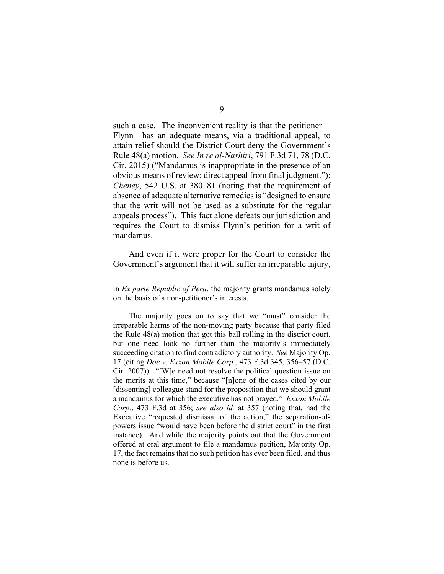such a case. The inconvenient reality is that the petitioner— Flynn—has an adequate means, via a traditional appeal, to attain relief should the District Court deny the Government's Rule 48(a) motion. *See In re al-Nashiri*, 791 F.3d 71, 78 (D.C. Cir. 2015) ("Mandamus is inappropriate in the presence of an obvious means of review: direct appeal from final judgment."); *Cheney*, 542 U.S. at 380–81 (noting that the requirement of absence of adequate alternative remedies is "designed to ensure that the writ will not be used as a substitute for the regular appeals process"). This fact alone defeats our jurisdiction and requires the Court to dismiss Flynn's petition for a writ of mandamus.

And even if it were proper for the Court to consider the Government's argument that it will suffer an irreparable injury,

in *Ex parte Republic of Peru*, the majority grants mandamus solely on the basis of a non-petitioner's interests.

The majority goes on to say that we "must" consider the irreparable harms of the non-moving party because that party filed the Rule 48(a) motion that got this ball rolling in the district court, but one need look no further than the majority's immediately succeeding citation to find contradictory authority. *See* Majority Op. 17 (citing *Doe v. Exxon Mobile Corp.*, 473 F.3d 345, 356–57 (D.C. Cir. 2007)). "[W]e need not resolve the political question issue on the merits at this time," because "[n]one of the cases cited by our [dissenting] colleague stand for the proposition that we should grant a mandamus for which the executive has not prayed." *Exxon Mobile Corp.*, 473 F.3d at 356; *see also id.* at 357 (noting that, had the Executive "requested dismissal of the action," the separation-ofpowers issue "would have been before the district court" in the first instance). And while the majority points out that the Government offered at oral argument to file a mandamus petition, Majority Op. 17, the fact remains that no such petition has ever been filed, and thus none is before us.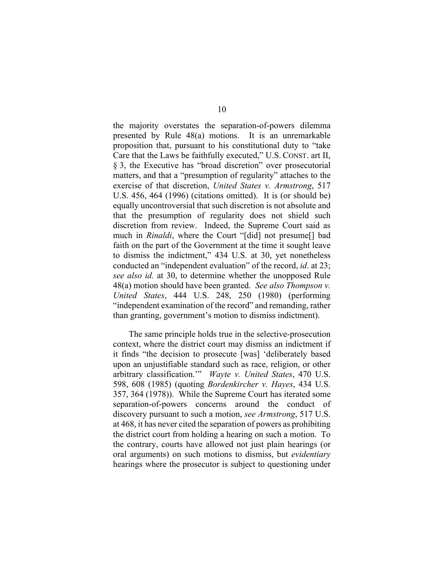the majority overstates the separation-of-powers dilemma presented by Rule 48(a) motions. It is an unremarkable proposition that, pursuant to his constitutional duty to "take Care that the Laws be faithfully executed," U.S. CONST. art II, § 3, the Executive has "broad discretion" over prosecutorial matters, and that a "presumption of regularity" attaches to the exercise of that discretion, *United States v. Armstrong*, 517 U.S. 456, 464 (1996) (citations omitted). It is (or should be) equally uncontroversial that such discretion is not absolute and that the presumption of regularity does not shield such discretion from review. Indeed, the Supreme Court said as much in *Rinaldi*, where the Court "[did] not presume[] bad faith on the part of the Government at the time it sought leave to dismiss the indictment," 434 U.S. at 30, yet nonetheless conducted an "independent evaluation" of the record, *id*. at 23; *see also id.* at 30, to determine whether the unopposed Rule 48(a) motion should have been granted. *See also Thompson v. United States*, 444 U.S. 248, 250 (1980) (performing "independent examination of the record" and remanding, rather than granting, government's motion to dismiss indictment).

The same principle holds true in the selective-prosecution context, where the district court may dismiss an indictment if it finds "the decision to prosecute [was] 'deliberately based upon an unjustifiable standard such as race, religion, or other arbitrary classification.'" *Wayte v. United States*, 470 U.S. 598, 608 (1985) (quoting *Bordenkircher v. Hayes*, 434 U.S. 357, 364 (1978)). While the Supreme Court has iterated some separation-of-powers concerns around the conduct of discovery pursuant to such a motion, *see Armstrong*, 517 U.S. at 468, it has never cited the separation of powers as prohibiting the district court from holding a hearing on such a motion. To the contrary, courts have allowed not just plain hearings (or oral arguments) on such motions to dismiss, but *evidentiary*  hearings where the prosecutor is subject to questioning under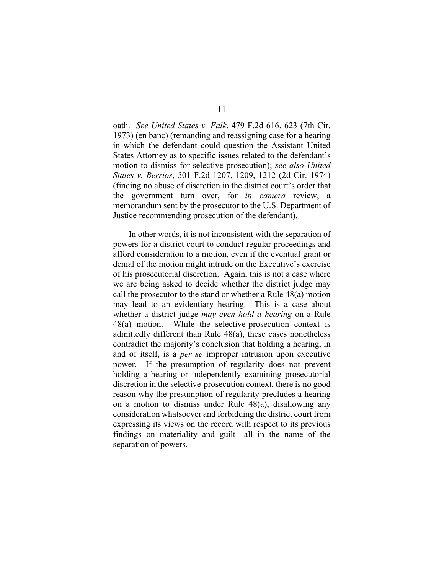oath. *See United States v. Falk*, 479 F.2d 616, 623 (7th Cir. 1973) (en banc) (remanding and reassigning case for a hearing in which the defendant could question the Assistant United States Attorney as to specific issues related to the defendant's motion to dismiss for selective prosecution); *see also United States v. Berrios*, 501 F.2d 1207, 1209, 1212 (2d Cir. 1974) (finding no abuse of discretion in the district court's order that the government turn over, for *in camera* review, a memorandum sent by the prosecutor to the U.S. Department of Justice recommending prosecution of the defendant).

In other words, it is not inconsistent with the separation of powers for a district court to conduct regular proceedings and afford consideration to a motion, even if the eventual grant or denial of the motion might intrude on the Executive's exercise of his prosecutorial discretion. Again, this is not a case where we are being asked to decide whether the district judge may call the prosecutor to the stand or whether a Rule 48(a) motion may lead to an evidentiary hearing. This is a case about whether a district judge *may even hold a hearing* on a Rule 48(a) motion. While the selective-prosecution context is admittedly different than Rule 48(a), these cases nonetheless contradict the majority's conclusion that holding a hearing, in and of itself, is a *per se* improper intrusion upon executive power. If the presumption of regularity does not prevent holding a hearing or independently examining prosecutorial discretion in the selective-prosecution context, there is no good reason why the presumption of regularity precludes a hearing on a motion to dismiss under Rule 48(a), disallowing any consideration whatsoever and forbidding the district court from expressing its views on the record with respect to its previous findings on materiality and guilt—all in the name of the separation of powers.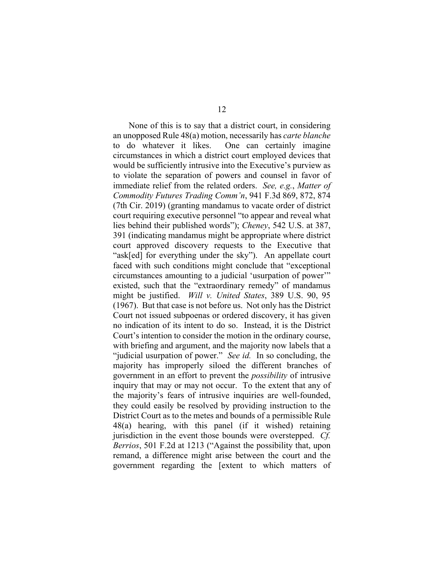None of this is to say that a district court, in considering an unopposed Rule 48(a) motion, necessarily has *carte blanche* to do whatever it likes. One can certainly imagine circumstances in which a district court employed devices that would be sufficiently intrusive into the Executive's purview as to violate the separation of powers and counsel in favor of immediate relief from the related orders. *See, e.g.*, *Matter of Commodity Futures Trading Comm'n*, 941 F.3d 869, 872, 874 (7th Cir. 2019) (granting mandamus to vacate order of district court requiring executive personnel "to appear and reveal what lies behind their published words"); *Cheney*, 542 U.S. at 387, 391 (indicating mandamus might be appropriate where district court approved discovery requests to the Executive that "ask[ed] for everything under the sky"). An appellate court faced with such conditions might conclude that "exceptional circumstances amounting to a judicial 'usurpation of power'" existed, such that the "extraordinary remedy" of mandamus might be justified. *Will v. United States*, 389 U.S. 90, 95 (1967). But that case is not before us. Not only has the District Court not issued subpoenas or ordered discovery, it has given no indication of its intent to do so. Instead, it is the District Court's intention to consider the motion in the ordinary course, with briefing and argument, and the majority now labels that a "judicial usurpation of power." *See id.* In so concluding, the majority has improperly siloed the different branches of government in an effort to prevent the *possibility* of intrusive inquiry that may or may not occur. To the extent that any of the majority's fears of intrusive inquiries are well-founded, they could easily be resolved by providing instruction to the District Court as to the metes and bounds of a permissible Rule 48(a) hearing, with this panel (if it wished) retaining jurisdiction in the event those bounds were overstepped. *Cf. Berrios*, 501 F.2d at 1213 ("Against the possibility that, upon remand, a difference might arise between the court and the government regarding the [extent to which matters of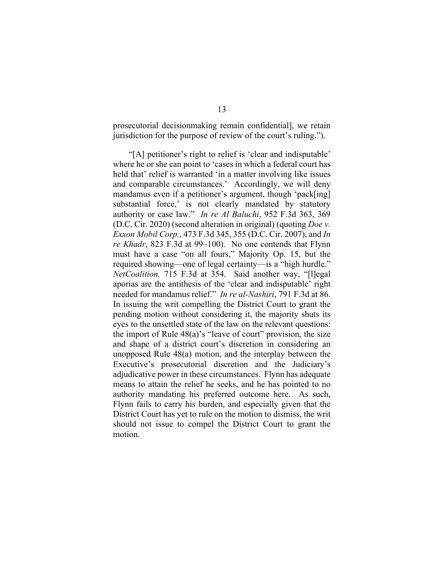prosecutorial decisionmaking remain confidential], we retain jurisdiction for the purpose of review of the court's ruling.").

"[A] petitioner's right to relief is 'clear and indisputable' where he or she can point to 'cases in which a federal court has held that' relief is warranted 'in a matter involving like issues and comparable circumstances.' Accordingly, we will deny mandamus even if a petitioner's argument, though 'pack[ing] substantial force,' is not clearly mandated by statutory authority or case law." *In re Al Baluchi*, 952 F.3d 363, 369 (D.C. Cir. 2020) (second alteration in original) (quoting *Doe v. Exxon Mobil Corp.*, 473 F.3d 345, 355 (D.C. Cir. 2007), and *In re Khadr*, 823 F.3d at 99–100). No one contends that Flynn must have a case "on all fours," Majority Op. 15, but the required showing—one of legal certainty—is a "high hurdle." *NetCoalition,* 715 F.3d at 354. Said another way, "[l]egal aporias are the antithesis of the 'clear and indisputable' right needed for mandamus relief." *In re al-Nashiri*, 791 F.3d at 86. In issuing the writ compelling the District Court to grant the pending motion without considering it, the majority shuts its eyes to the unsettled state of the law on the relevant questions: the import of Rule  $48(a)$ 's "leave of court" provision, the size and shape of a district court's discretion in considering an unopposed Rule 48(a) motion, and the interplay between the Executive's prosecutorial discretion and the Judiciary's adjudicative power in these circumstances. Flynn has adequate means to attain the relief he seeks, and he has pointed to no authority mandating his preferred outcome here. As such, Flynn fails to carry his burden, and especially given that the District Court has yet to rule on the motion to dismiss, the writ should not issue to compel the District Court to grant the motion.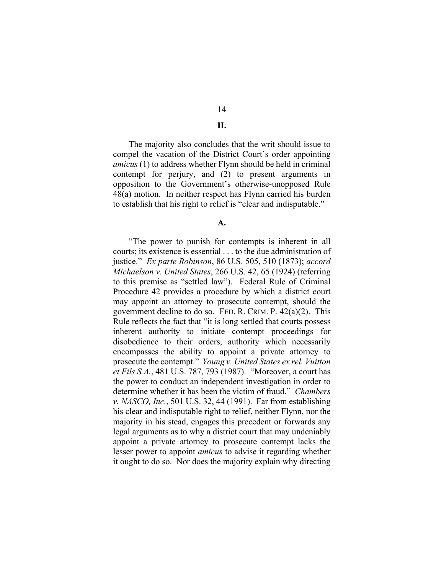14 **II.** 

The majority also concludes that the writ should issue to compel the vacation of the District Court's order appointing *amicus* (1) to address whether Flynn should be held in criminal contempt for perjury, and (2) to present arguments in opposition to the Government's otherwise-unopposed Rule 48(a) motion. In neither respect has Flynn carried his burden to establish that his right to relief is "clear and indisputable."

**A.** 

 "The power to punish for contempts is inherent in all courts; its existence is essential . . . to the due administration of justice." *Ex parte Robinson*, 86 U.S. 505, 510 (1873); *accord Michaelson v. United States*, 266 U.S. 42, 65 (1924) (referring to this premise as "settled law"). Federal Rule of Criminal Procedure 42 provides a procedure by which a district court may appoint an attorney to prosecute contempt, should the government decline to do so. FED. R. CRIM. P. 42(a)(2). This Rule reflects the fact that "it is long settled that courts possess inherent authority to initiate contempt proceedings for disobedience to their orders, authority which necessarily encompasses the ability to appoint a private attorney to prosecute the contempt." *Young v. United States ex rel. Vuitton et Fils S.A.*, 481 U.S. 787, 793 (1987). "Moreover, a court has the power to conduct an independent investigation in order to determine whether it has been the victim of fraud." *Chambers v. NASCO, Inc.*, 501 U.S. 32, 44 (1991). Far from establishing his clear and indisputable right to relief, neither Flynn, nor the majority in his stead, engages this precedent or forwards any legal arguments as to why a district court that may undeniably appoint a private attorney to prosecute contempt lacks the lesser power to appoint *amicus* to advise it regarding whether it ought to do so. Nor does the majority explain why directing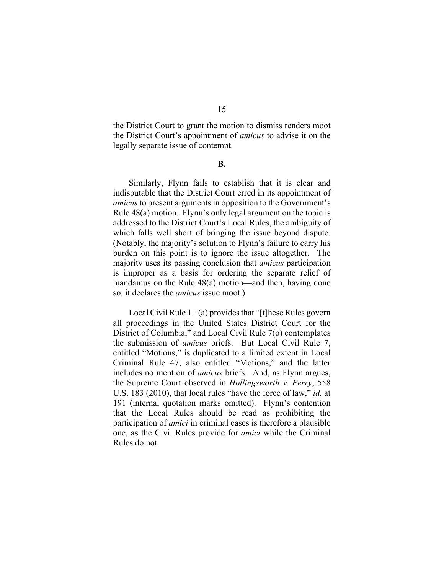the District Court to grant the motion to dismiss renders moot the District Court's appointment of *amicus* to advise it on the legally separate issue of contempt.

**B.** 

Similarly, Flynn fails to establish that it is clear and indisputable that the District Court erred in its appointment of *amicus* to present arguments in opposition to the Government's Rule 48(a) motion. Flynn's only legal argument on the topic is addressed to the District Court's Local Rules, the ambiguity of which falls well short of bringing the issue beyond dispute. (Notably, the majority's solution to Flynn's failure to carry his burden on this point is to ignore the issue altogether. The majority uses its passing conclusion that *amicus* participation is improper as a basis for ordering the separate relief of mandamus on the Rule 48(a) motion—and then, having done so, it declares the *amicus* issue moot.)

Local Civil Rule 1.1(a) provides that "[t]hese Rules govern all proceedings in the United States District Court for the District of Columbia," and Local Civil Rule 7(o) contemplates the submission of *amicus* briefs. But Local Civil Rule 7, entitled "Motions," is duplicated to a limited extent in Local Criminal Rule 47, also entitled "Motions," and the latter includes no mention of *amicus* briefs. And, as Flynn argues, the Supreme Court observed in *Hollingsworth v. Perry*, 558 U.S. 183 (2010), that local rules "have the force of law," *id.* at 191 (internal quotation marks omitted). Flynn's contention that the Local Rules should be read as prohibiting the participation of *amici* in criminal cases is therefore a plausible one, as the Civil Rules provide for *amici* while the Criminal Rules do not.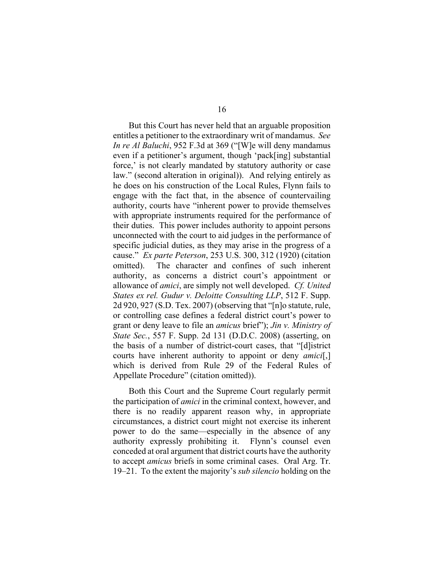But this Court has never held that an arguable proposition entitles a petitioner to the extraordinary writ of mandamus. *See In re Al Baluchi*, 952 F.3d at 369 ("[W]e will deny mandamus even if a petitioner's argument, though 'pack[ing] substantial force,' is not clearly mandated by statutory authority or case law." (second alteration in original)). And relying entirely as he does on his construction of the Local Rules, Flynn fails to engage with the fact that, in the absence of countervailing authority, courts have "inherent power to provide themselves with appropriate instruments required for the performance of their duties. This power includes authority to appoint persons unconnected with the court to aid judges in the performance of specific judicial duties, as they may arise in the progress of a cause." *Ex parte Peterson*, 253 U.S. 300, 312 (1920) (citation omitted). The character and confines of such inherent authority, as concerns a district court's appointment or allowance of *amici*, are simply not well developed. *Cf. United States ex rel. Gudur v. Deloitte Consulting LLP*, 512 F. Supp. 2d 920, 927 (S.D. Tex. 2007) (observing that "[n]o statute, rule, or controlling case defines a federal district court's power to grant or deny leave to file an *amicus* brief"); *Jin v. Ministry of State Sec.*, 557 F. Supp. 2d 131 (D.D.C. 2008) (asserting, on the basis of a number of district-court cases, that "[d]istrict courts have inherent authority to appoint or deny *amici*[,] which is derived from Rule 29 of the Federal Rules of Appellate Procedure" (citation omitted)).

Both this Court and the Supreme Court regularly permit the participation of *amici* in the criminal context, however, and there is no readily apparent reason why, in appropriate circumstances, a district court might not exercise its inherent power to do the same—especially in the absence of any authority expressly prohibiting it. Flynn's counsel even conceded at oral argument that district courts have the authority to accept *amicus* briefs in some criminal cases. Oral Arg. Tr. 19–21. To the extent the majority's *sub silencio* holding on the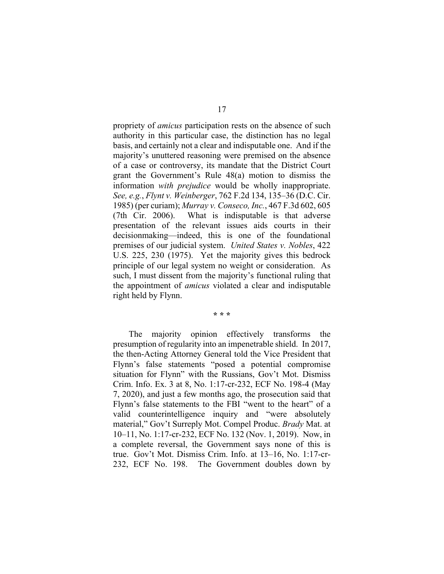propriety of *amicus* participation rests on the absence of such authority in this particular case, the distinction has no legal basis, and certainly not a clear and indisputable one. And if the majority's unuttered reasoning were premised on the absence of a case or controversy, its mandate that the District Court grant the Government's Rule 48(a) motion to dismiss the information *with prejudice* would be wholly inappropriate. *See, e.g.*, *Flynt v. Weinberger*, 762 F.2d 134, 135–36 (D.C. Cir. 1985) (per curiam); *Murray v. Conseco, Inc.*, 467 F.3d 602, 605 (7th Cir. 2006). What is indisputable is that adverse presentation of the relevant issues aids courts in their decisionmaking—indeed, this is one of the foundational premises of our judicial system. *United States v. Nobles*, 422 U.S. 225, 230 (1975). Yet the majority gives this bedrock principle of our legal system no weight or consideration. As such, I must dissent from the majority's functional ruling that the appointment of *amicus* violated a clear and indisputable right held by Flynn.

**\* \* \***

 The majority opinion effectively transforms the presumption of regularity into an impenetrable shield. In 2017, the then-Acting Attorney General told the Vice President that Flynn's false statements "posed a potential compromise situation for Flynn" with the Russians, Gov't Mot. Dismiss Crim. Info. Ex. 3 at 8, No. 1:17-cr-232, ECF No. 198-4 (May 7, 2020), and just a few months ago, the prosecution said that Flynn's false statements to the FBI "went to the heart" of a valid counterintelligence inquiry and "were absolutely material," Gov't Surreply Mot. Compel Produc. *Brady* Mat. at 10–11, No. 1:17-cr-232, ECF No. 132 (Nov. 1, 2019). Now, in a complete reversal, the Government says none of this is true. Gov't Mot. Dismiss Crim. Info. at 13–16, No. 1:17-cr-232, ECF No. 198. The Government doubles down by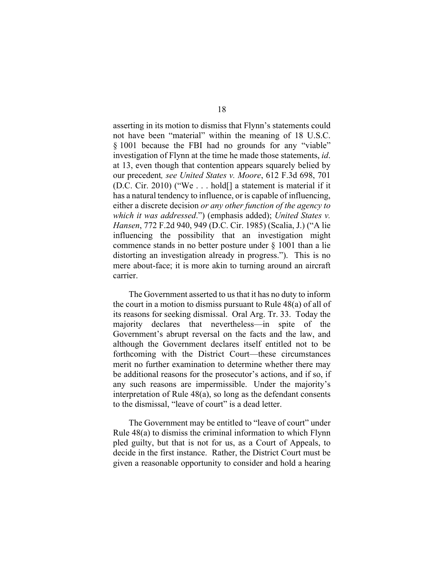asserting in its motion to dismiss that Flynn's statements could not have been "material" within the meaning of 18 U.S.C. § 1001 because the FBI had no grounds for any "viable" investigation of Flynn at the time he made those statements, *id*. at 13, even though that contention appears squarely belied by our precedent*, see United States v. Moore*, 612 F.3d 698, 701 (D.C. Cir. 2010) ("We . . . hold[] a statement is material if it has a natural tendency to influence, or is capable of influencing, either a discrete decision *or any other function of the agency to which it was addressed*.") (emphasis added); *United States v. Hansen*, 772 F.2d 940, 949 (D.C. Cir. 1985) (Scalia, J.) ("A lie influencing the possibility that an investigation might commence stands in no better posture under § 1001 than a lie distorting an investigation already in progress."). This is no mere about-face; it is more akin to turning around an aircraft carrier.

The Government asserted to us that it has no duty to inform the court in a motion to dismiss pursuant to Rule 48(a) of all of its reasons for seeking dismissal. Oral Arg. Tr. 33. Today the majority declares that nevertheless—in spite of the Government's abrupt reversal on the facts and the law, and although the Government declares itself entitled not to be forthcoming with the District Court—these circumstances merit no further examination to determine whether there may be additional reasons for the prosecutor's actions, and if so, if any such reasons are impermissible. Under the majority's interpretation of Rule 48(a), so long as the defendant consents to the dismissal, "leave of court" is a dead letter.

The Government may be entitled to "leave of court" under Rule 48(a) to dismiss the criminal information to which Flynn pled guilty, but that is not for us, as a Court of Appeals, to decide in the first instance. Rather, the District Court must be given a reasonable opportunity to consider and hold a hearing